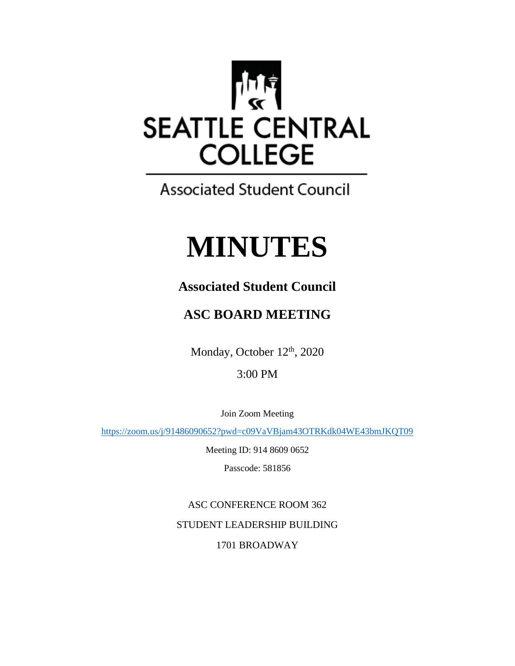

**Associated Student Council** 

# **MINUTES**

## **Associated Student Council**

## **ASC BOARD MEETING**

Monday, October 12<sup>th</sup>, 2020

### 3:00 PM

Join Zoom Meeting

<https://zoom.us/j/91486090652?pwd=c09VaVBjam43OTRKdk04WE43bmJKQT09>

Meeting ID: 914 8609 0652

Passcode: 581856

ASC CONFERENCE ROOM 362 STUDENT LEADERSHIP BUILDING 1701 BROADWAY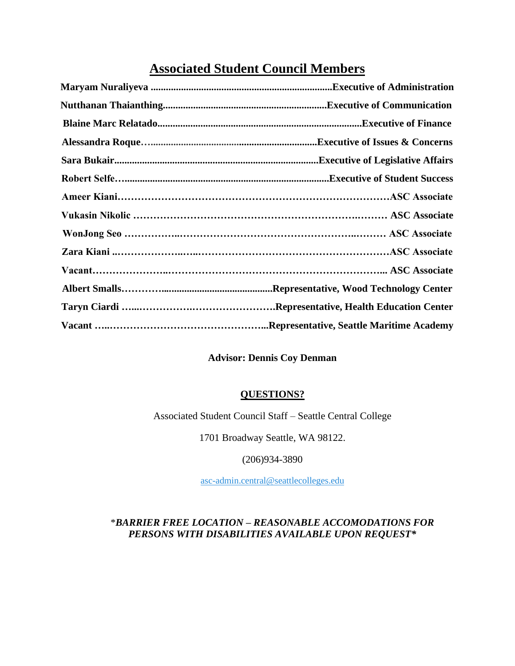## **Associated Student Council Members**

| Sara Bukair……………………………………………………………………………………Executive of Legislative Affairs |
|-----------------------------------------------------------------------------|
|                                                                             |
|                                                                             |
|                                                                             |
|                                                                             |
|                                                                             |
|                                                                             |
|                                                                             |
|                                                                             |
|                                                                             |

#### **Advisor: Dennis Coy Denman**

#### **QUESTIONS?**

Associated Student Council Staff – Seattle Central College

1701 Broadway Seattle, WA 98122.

(206)934-3890

[asc-admin.central@seattlecolleges.edu](mailto:asc-admin.central@seattlecolleges.edu)

#### \**BARRIER FREE LOCATION – REASONABLE ACCOMODATIONS FOR PERSONS WITH DISABILITIES AVAILABLE UPON REQUEST\**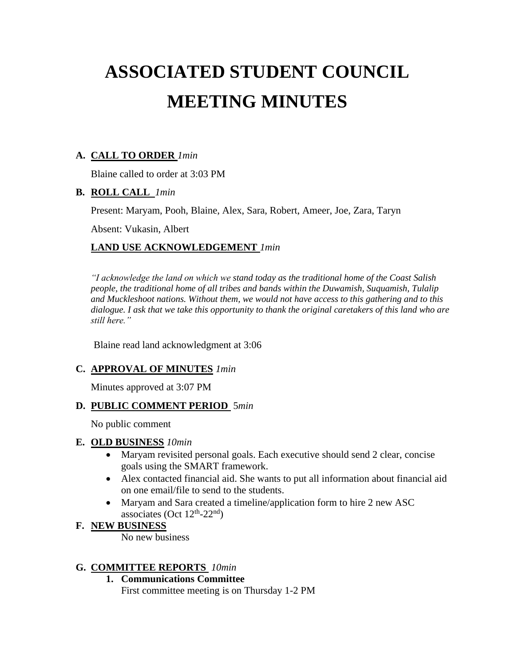## **ASSOCIATED STUDENT COUNCIL MEETING MINUTES**

#### **A. CALL TO ORDER** *1min*

Blaine called to order at 3:03 PM

#### **B. ROLL CALL** *1min*

Present: Maryam, Pooh, Blaine, Alex, Sara, Robert, Ameer, Joe, Zara, Taryn

Absent: Vukasin, Albert

#### **LAND USE ACKNOWLEDGEMENT** *1min*

*"I acknowledge the land on which we stand today as the traditional home of the Coast Salish people, the traditional home of all tribes and bands within the Duwamish, Suquamish, Tulalip and Muckleshoot nations. Without them, we would not have access to this gathering and to this dialogue. I ask that we take this opportunity to thank the original caretakers of this land who are still here."*

Blaine read land acknowledgment at 3:06

#### **C. APPROVAL OF MINUTES** *1min*

Minutes approved at 3:07 PM

#### **D. PUBLIC COMMENT PERIOD** 5*min*

No public comment

#### **E. OLD BUSINESS** *10min*

- Maryam revisited personal goals. Each executive should send 2 clear, concise goals using the SMART framework.
- Alex contacted financial aid. She wants to put all information about financial aid on one email/file to send to the students.
- Maryam and Sara created a timeline/application form to hire 2 new ASC associates (Oct  $12<sup>th</sup> - 22<sup>nd</sup>$ )

#### **F. NEW BUSINESS**

No new business

#### **G. COMMITTEE REPORTS** *10min*

**1. Communications Committee**

First committee meeting is on Thursday 1-2 PM